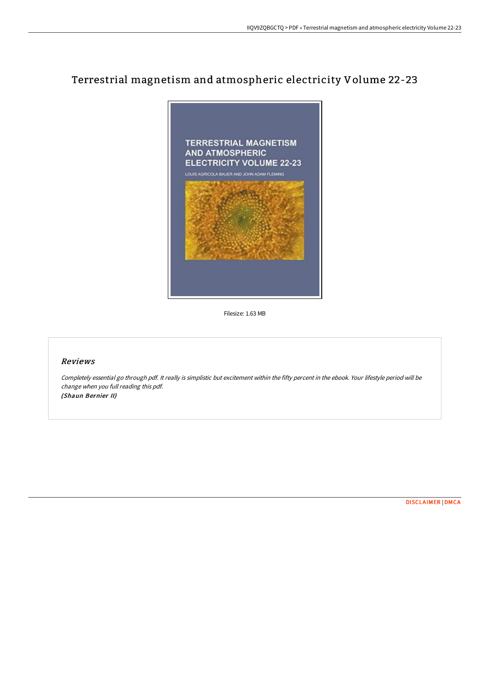# Terrestrial magnetism and atmospheric electricity Volume 22-23



Filesize: 1.63 MB

#### Reviews

Completely essential go through pdf. It really is simplistic but excitement within the fifty percent in the ebook. Your lifestyle period will be change when you full reading this pdf. (Shaun Bernier II)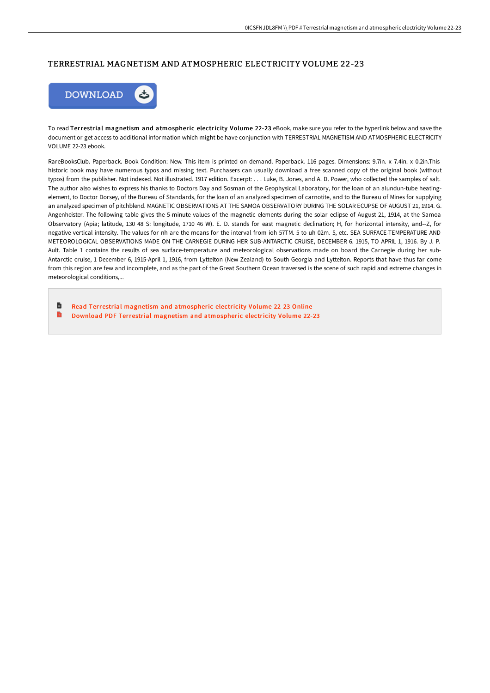## TERRESTRIAL MAGNETISM AND ATMOSPHERIC ELECTRICITY VOLUME 22-23



To read Terrestrial magnetism and atmospheric electricity Volume 22-23 eBook, make sure you refer to the hyperlink below and save the document or get access to additional information which might be have conjunction with TERRESTRIAL MAGNETISM AND ATMOSPHERIC ELECTRICITY VOLUME 22-23 ebook.

RareBooksClub. Paperback. Book Condition: New. This item is printed on demand. Paperback. 116 pages. Dimensions: 9.7in. x 7.4in. x 0.2in.This historic book may have numerous typos and missing text. Purchasers can usually download a free scanned copy of the original book (without typos) from the publisher. Not indexed. Not illustrated. 1917 edition. Excerpt: . . . Luke, B. Jones, and A. D. Power, who collected the samples of salt. The author also wishes to express his thanks to Doctors Day and Sosman of the Geophysical Laboratory, for the loan of an alundun-tube heatingelement, to Doctor Dorsey, of the Bureau of Standards, for the loan of an analyzed specimen of carnotite, and to the Bureau of Mines for supplying an analyzed specimen of pitchblend. MAGNETIC OBSERVATIONS AT THE SAMOA OBSERVATORY DURING THE SOLAR ECUPSE OF AUGUST 21, 1914. G. Angenheister. The following table gives the 5-minute values of the magnetic elements during the solar eclipse of August 21, 1914, at the Samoa Observatory (Apia; latitude, 130 48 S: longitude, 1710 46 W). E. D. stands for east magnetic declination; H, for horizontal intensity, and--Z, for negative vertical intensity. The values for nh are the means for the interval from ioh 57TM. 5 to uh 02m. 5, etc. SEA SURFACE-TEMPERATURE AND METEOROLOGICAL OBSERVATIONS MADE ON THE CARNEGIE DURING HER SUB-ANTARCTIC CRUISE, DECEMBER 6. 1915, TO APRIL 1, 1916. By J. P. Ault. Table 1 contains the results of sea surface-temperature and meteorological observations made on board the Carnegie during her sub-Antarctic cruise, 1 December 6, 1915-April 1, 1916, from Lyttelton (New Zealand) to South Georgia and Lyttelton. Reports that have thus far come from this region are few and incomplete, and as the part of the Great Southern Ocean traversed is the scene of such rapid and extreme changes in meteorological conditions,...

旨 Read Terrestrial magnetism and [atmospheric](http://albedo.media/terrestrial-magnetism-and-atmospheric-electricit-5.html) electricity Volume 22-23 Online B Download PDF Terrestrial magnetism and [atmospheric](http://albedo.media/terrestrial-magnetism-and-atmospheric-electricit-5.html) electricity Volume 22-23